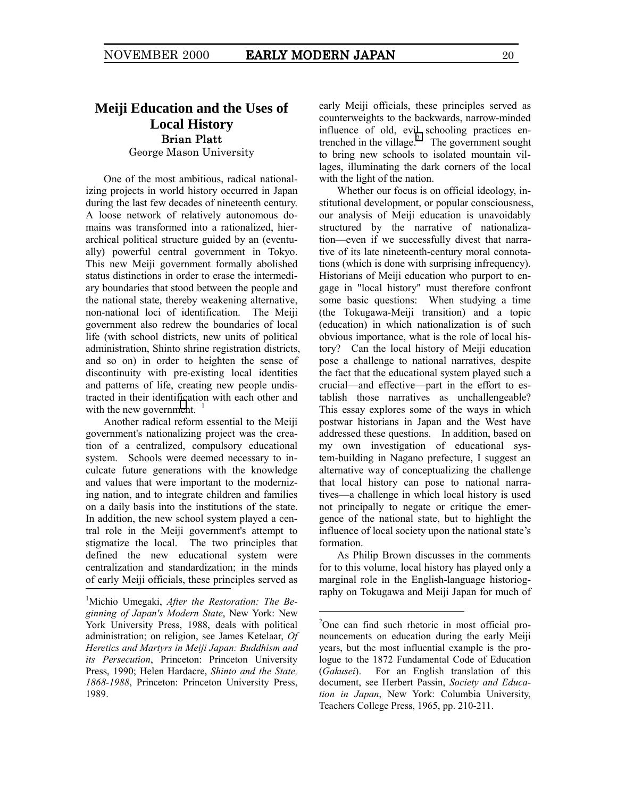## **Meiji Education and the Uses of Local History**  Brian Platt

George Mason University

One of the most ambitious, radical nationalizing projects in world history occurred in Japan during the last few decades of nineteenth century. A loose network of relatively autonomous domains was transformed into a rationalized, hierarchical political structure guided by an (eventually) powerful central government in Tokyo. This new Meiji government formally abolished status distinctions in order to erase the intermediary boundaries that stood between the people and the national state, thereby weakening alternative, non-national loci of identification. The Meiji government also redrew the boundaries of local life (with school districts, new units of political administration, Shinto shrine registration districts, and so on) in order to heighten the sense of discontinuity with pre-existing local identities and patterns of life, creating new people undistracted in their identification with each other and with the new government.  $\frac{1}{1}$ 

Another radical reform essential to the Meiji government's nationalizing project was the creation of a centralized, compulsory educational system. Schools were deemed necessary to inculcate future generations with the knowledge and values that were important to the modernizing nation, and to integrate children and families on a daily basis into the institutions of the state. In addition, the new school system played a central role in the Meiji government's attempt to stigmatize the local. The two principles that defined the new educational system were centralization and standardization; in the minds of early Meiji officials, these principles served as early Meiji officials, these principles served as counterweights to the backwards, narrow-minded influence of old, evil schooling practices entrenched in the village. $\degree$  The government sought to bring new schools to isolated mountain villages, illuminating the dark corners of the local with the light of the nation.

Whether our focus is on official ideology, institutional development, or popular consciousness, our analysis of Meiji education is unavoidably structured by the narrative of nationalization—even if we successfully divest that narrative of its late nineteenth-century moral connotations (which is done with surprising infrequency). Historians of Meiji education who purport to engage in "local history" must therefore confront some basic questions: When studying a time (the Tokugawa-Meiji transition) and a topic (education) in which nationalization is of such obvious importance, what is the role of local history? Can the local history of Meiji education pose a challenge to national narratives, despite the fact that the educational system played such a crucial—and effective—part in the effort to establish those narratives as unchallengeable? This essay explores some of the ways in which postwar historians in Japan and the West have addressed these questions. In addition, based on my own investigation of educational system-building in Nagano prefecture, I suggest an alternative way of conceptualizing the challenge that local history can pose to national narratives—a challenge in which local history is used not principally to negate or critique the emergence of the national state, but to highlight the influence of local society upon the national state's formation.

As Philip Brown discusses in the comments for to this volume, local history has played only a marginal role in the English-language historiography on Tokugawa and Meiji Japan for much of

<sup>&</sup>lt;sup>1</sup>Michio Umegaki, After the Restoration: The Be*ginning of Japan's Modern State*, New York: New York University Press, 1988, deals with political administration; on religion, see James Ketelaar, *Of Heretics and Martyrs in Meiji Japan: Buddhism and its Persecution*, Princeton: Princeton University Press, 1990; Helen Hardacre, *Shinto and the State, 1868-1988*, Princeton: Princeton University Press, 1989.

<sup>&</sup>lt;sup>2</sup>One can find such rhetoric in most official pronouncements on education during the early Meiji years, but the most influential example is the prologue to the 1872 Fundamental Code of Education (*Gakusei*). For an English translation of this document, see Herbert Passin, *Society and Education in Japan*, New York: Columbia University, Teachers College Press, 1965, pp. 210-211.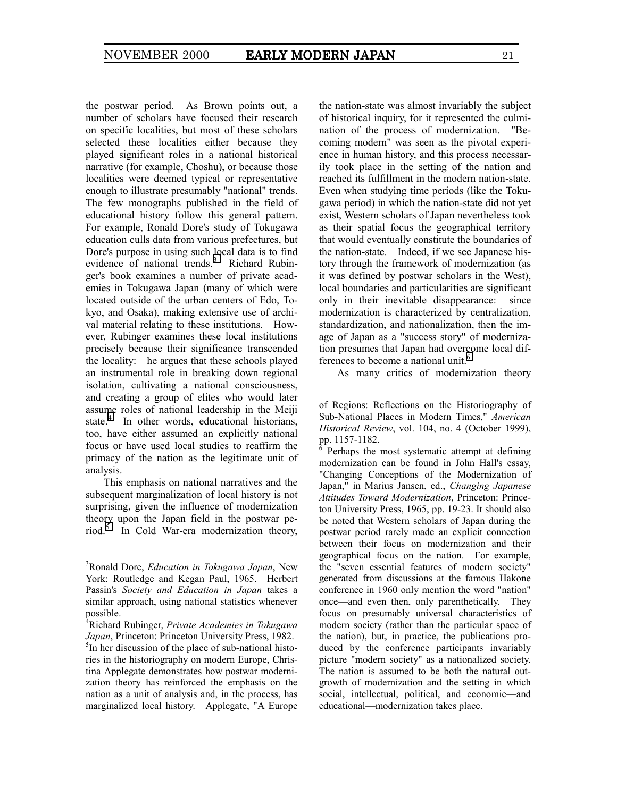the postwar period. As Brown points out, a number of scholars have focused their research on specific localities, but most of these scholars selected these localities either because they played significant roles in a national historical narrative (for example, Choshu), or because those localities were deemed typical or representative enough to illustrate presumably "national" trends. The few monographs published in the field of educational history follow this general pattern. For example, Ronald Dore's study of Tokugawa education culls data from various prefectures, but Dore's purpose in using such local data is to find evidence of national trends.<sup>3</sup> Richard Rubinger's book examines a number of private academies in Tokugawa Japan (many of which were located outside of the urban centers of Edo, Tokyo, and Osaka), making extensive use of archival material relating to these institutions. However, Rubinger examines these local institutions precisely because their significance transcended the locality: he argues that these schools played an instrumental role in breaking down regional isolation, cultivating a national consciousness, and creating a group of elites who would later assume roles of national leadership in the Meiji state.<sup>4</sup> In other words, educational historians, too, have either assumed an explicitly national focus or have used local studies to reaffirm the primacy of the nation as the legitimate unit of analysis.

This emphasis on national narratives and the subsequent marginalization of local history is not surprising, given the influence of modernization theory upon the Japan field in the postwar period.<sup>5</sup> In Cold War-era modernization theory,

-

the nation-state was almost invariably the subject of historical inquiry, for it represented the culmination of the process of modernization. "Becoming modern" was seen as the pivotal experience in human history, and this process necessarily took place in the setting of the nation and reached its fulfillment in the modern nation-state. Even when studying time periods (like the Tokugawa period) in which the nation-state did not yet exist, Western scholars of Japan nevertheless took as their spatial focus the geographical territory that would eventually constitute the boundaries of the nation-state. Indeed, if we see Japanese history through the framework of modernization (as it was defined by postwar scholars in the West), local boundaries and particularities are significant only in their inevitable disappearance: since modernization is characterized by centralization, standardization, and nationalization, then the image of Japan as a "success story" of modernization presumes that Japan had overcome local differences to become a national unit.<sup>6</sup>

As many critics of modernization theory

 $\overline{a}$ 

 Perhaps the most systematic attempt at defining modernization can be found in John Hall's essay, "Changing Conceptions of the Modernization of Japan," in Marius Jansen, ed., *Changing Japanese Attitudes Toward Modernization*, Princeton: Princeton University Press, 1965, pp. 19-23. It should also be noted that Western scholars of Japan during the postwar period rarely made an explicit connection between their focus on modernization and their geographical focus on the nation. For example, the "seven essential features of modern society" generated from discussions at the famous Hakone conference in 1960 only mention the word "nation" once—and even then, only parenthetically. They focus on presumably universal characteristics of modern society (rather than the particular space of the nation), but, in practice, the publications produced by the conference participants invariably picture "modern society" as a nationalized society. The nation is assumed to be both the natural outgrowth of modernization and the setting in which social, intellectual, political, and economic—and educational—modernization takes place.

<sup>3</sup> Ronald Dore, *Education in Tokugawa Japan*, New York: Routledge and Kegan Paul, 1965. Herbert Passin's *Society and Education in Japan* takes a similar approach, using national statistics whenever possible.

<sup>4</sup> Richard Rubinger, *Private Academies in Tokugawa*  Japan, Princeton: Princeton University Press, 1982.

<sup>&</sup>lt;sup>5</sup>In her discussion of the place of sub-national histories in the historiography on modern Europe, Christina Applegate demonstrates how postwar modernization theory has reinforced the emphasis on the nation as a unit of analysis and, in the process, has marginalized local history. Applegate, "A Europe

of Regions: Reflections on the Historiography of Sub-National Places in Modern Times," *American Historical Review*, vol. 104, no. 4 (October 1999), pp. 1157-1182.<br><sup>6</sup> Perhaps the 1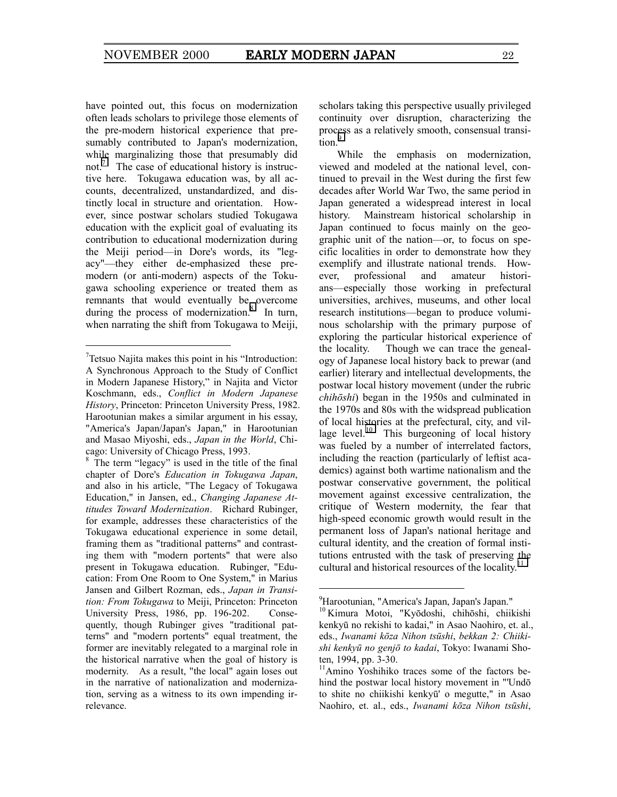have pointed out, this focus on modernization often leads scholars to privilege those elements of the pre-modern historical experience that presumably contributed to Japan's modernization, while marginalizing those that presumably did not.7 The case of educational history is instructive here. Tokugawa education was, by all accounts, decentralized, unstandardized, and distinctly local in structure and orientation. However, since postwar scholars studied Tokugawa education with the explicit goal of evaluating its contribution to educational modernization during the Meiji period—in Dore's words, its "legacy"—they either de-emphasized these premodern (or anti-modern) aspects of the Tokugawa schooling experience or treated them as remnants that would eventually be overcome during the process of modernization. $8$  In turn, when narrating the shift from Tokugawa to Meiji,

-

scholars taking this perspective usually privileged continuity over disruption, characterizing the process as a relatively smooth, consensual transition.<sup>9</sup>

While the emphasis on modernization, viewed and modeled at the national level, continued to prevail in the West during the first few decades after World War Two, the same period in Japan generated a widespread interest in local history. Mainstream historical scholarship in Japan continued to focus mainly on the geographic unit of the nation—or, to focus on specific localities in order to demonstrate how they exemplify and illustrate national trends. However, professional and amateur historians—especially those working in prefectural universities, archives, museums, and other local research institutions—began to produce voluminous scholarship with the primary purpose of exploring the particular historical experience of the locality. Though we can trace the genealogy of Japanese local history back to prewar (and earlier) literary and intellectual developments, the postwar local history movement (under the rubric *chihōshi*) began in the 1950s and culminated in the 1970s and 80s with the widspread publication of local histories at the prefectural, city, and village level. $10$  This burgeoning of local history was fueled by a number of interrelated factors, including the reaction (particularly of leftist academics) against both wartime nationalism and the postwar conservative government, the political movement against excessive centralization, the critique of Western modernity, the fear that high-speed economic growth would result in the permanent loss of Japan's national heritage and cultural identity, and the creation of formal institutions entrusted with the task of preserving the cultural and historical resources of the locality.<sup>11</sup>

 $7$ Tetsuo Najita makes this point in his "Introduction: A Synchronous Approach to the Study of Conflict in Modern Japanese History," in Najita and Victor Koschmann, eds., *Conflict in Modern Japanese History*, Princeton: Princeton University Press, 1982. Harootunian makes a similar argument in his essay, "America's Japan/Japan's Japan," in Harootunian and Masao Miyoshi, eds., *Japan in the World*, Chicago: University of Chicago Press, 1993.

 $8 \text{ The term "legacy" is used in the title of the final}$ chapter of Dore's *Education in Tokugawa Japan*, and also in his article, "The Legacy of Tokugawa Education," in Jansen, ed., *Changing Japanese Attitudes Toward Modernization*. Richard Rubinger, for example, addresses these characteristics of the Tokugawa educational experience in some detail, framing them as "traditional patterns" and contrasting them with "modern portents" that were also present in Tokugawa education. Rubinger, "Education: From One Room to One System," in Marius Jansen and Gilbert Rozman, eds., *Japan in Transition: From Tokugawa* to Meiji, Princeton: Princeton University Press, 1986, pp. 196-202. Consequently, though Rubinger gives "traditional patterns" and "modern portents" equal treatment, the former are inevitably relegated to a marginal role in the historical narrative when the goal of history is modernity. As a result, "the local" again loses out in the narrative of nationalization and modernization, serving as a witness to its own impending irrelevance.

<sup>9</sup> Harootunian, "America's Japan, Japan's Japan."

<sup>10</sup> Kimura Motoi, "Kyōdoshi, chihōshi, chiikishi kenkyū no rekishi to kadai," in Asao Naohiro, et. al., eds., *Iwanami kōza Nihon tsūshi*, *bekkan 2: Chiikishi kenkyū no genjō to kadai*, Tokyo: Iwanami Shoten, 1994, pp. 3-30.

<sup>&</sup>lt;sup>11</sup>Amino Yoshihiko traces some of the factors behind the postwar local history movement in "'Undō to shite no chiikishi kenkyū' o megutte," in Asao Naohiro, et. al., eds., *Iwanami kōza Nihon tsūshi*,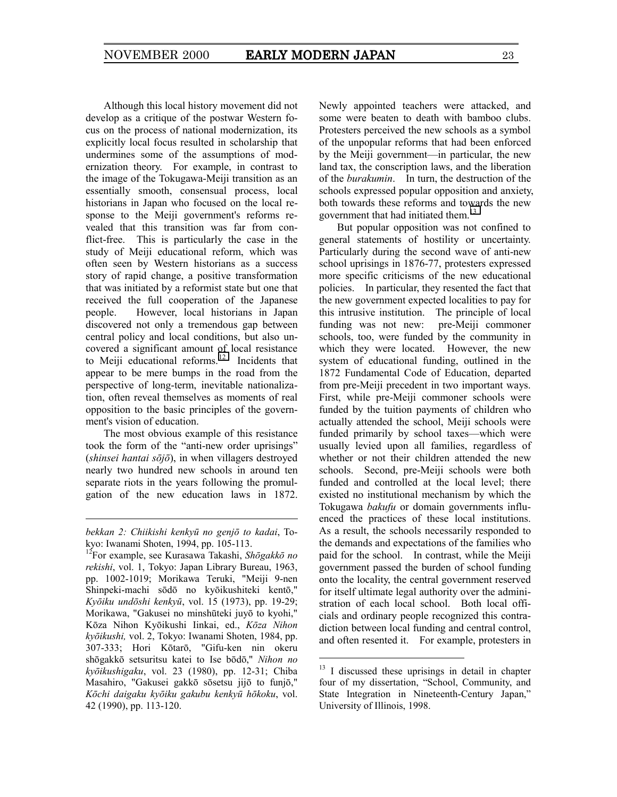Although this local history movement did not develop as a critique of the postwar Western focus on the process of national modernization, its explicitly local focus resulted in scholarship that undermines some of the assumptions of modernization theory. For example, in contrast to the image of the Tokugawa-Meiji transition as an essentially smooth, consensual process, local historians in Japan who focused on the local response to the Meiji government's reforms revealed that this transition was far from conflict-free. This is particularly the case in the study of Meiji educational reform, which was often seen by Western historians as a success story of rapid change, a positive transformation that was initiated by a reformist state but one that received the full cooperation of the Japanese people. However, local historians in Japan discovered not only a tremendous gap between central policy and local conditions, but also uncovered a significant amount of local resistance to Meiji educational reforms.<sup>12</sup> Incidents that appear to be mere bumps in the road from the perspective of long-term, inevitable nationalization, often reveal themselves as moments of real opposition to the basic principles of the government's vision of education.

The most obvious example of this resistance took the form of the "anti-new order uprisings" (*shinsei hantai sōjō*), in when villagers destroyed nearly two hundred new schools in around ten separate riots in the years following the promulgation of the new education laws in 1872.

1

Newly appointed teachers were attacked, and some were beaten to death with bamboo clubs. Protesters perceived the new schools as a symbol of the unpopular reforms that had been enforced by the Meiji government—in particular, the new land tax, the conscription laws, and the liberation of the *burakumin*. In turn, the destruction of the schools expressed popular opposition and anxiety, both towards these reforms and towards the new government that had initiated them.<sup>13</sup>

But popular opposition was not confined to general statements of hostility or uncertainty. Particularly during the second wave of anti-new school uprisings in 1876-77, protesters expressed more specific criticisms of the new educational policies. In particular, they resented the fact that the new government expected localities to pay for this intrusive institution. The principle of local funding was not new: pre-Meiji commoner schools, too, were funded by the community in which they were located. However, the new system of educational funding, outlined in the 1872 Fundamental Code of Education, departed from pre-Meiji precedent in two important ways. First, while pre-Meiji commoner schools were funded by the tuition payments of children who actually attended the school, Meiji schools were funded primarily by school taxes—which were usually levied upon all families, regardless of whether or not their children attended the new schools. Second, pre-Meiji schools were both funded and controlled at the local level; there existed no institutional mechanism by which the Tokugawa *bakufu* or domain governments influenced the practices of these local institutions. As a result, the schools necessarily responded to the demands and expectations of the families who paid for the school. In contrast, while the Meiji government passed the burden of school funding onto the locality, the central government reserved for itself ultimate legal authority over the administration of each local school. Both local officials and ordinary people recognized this contradiction between local funding and central control, and often resented it. For example, protesters in

*bekkan 2: Chiikishi kenkyū no genjō to kadai*, Tokyo: Iwanami Shoten, 1994, pp. 105-113.

<sup>12</sup>For example, see Kurasawa Takashi, *Shōgakkō no rekishi*, vol. 1, Tokyo: Japan Library Bureau, 1963, pp. 1002-1019; Morikawa Teruki, "Meiji 9-nen Shinpeki-machi sōdō no kyōikushiteki kentō," *Kyōiku undōshi kenkyū*, vol. 15 (1973), pp. 19-29; Morikawa, "Gakusei no minshūteki juyō to kyohi," Kōza Nihon Kyōikushi Iinkai, ed., *Kōza Nihon kyōikushi,* vol. 2, Tokyo: Iwanami Shoten, 1984, pp. 307-333; Hori Kōtarō, "Gifu-ken nin okeru shōgakkō setsuritsu katei to Ise bōdō," *Nihon no kyōikushigaku*, vol. 23 (1980), pp. 12-31; Chiba Masahiro, "Gakusei gakkō sōsetsu jijō to funjō," *Kōchi daigaku kyōiku gakubu kenkyū hōkoku*, vol. 42 (1990), pp. 113-120.

 $13$  I discussed these uprisings in detail in chapter four of my dissertation, "School, Community, and State Integration in Nineteenth-Century Japan," University of Illinois, 1998.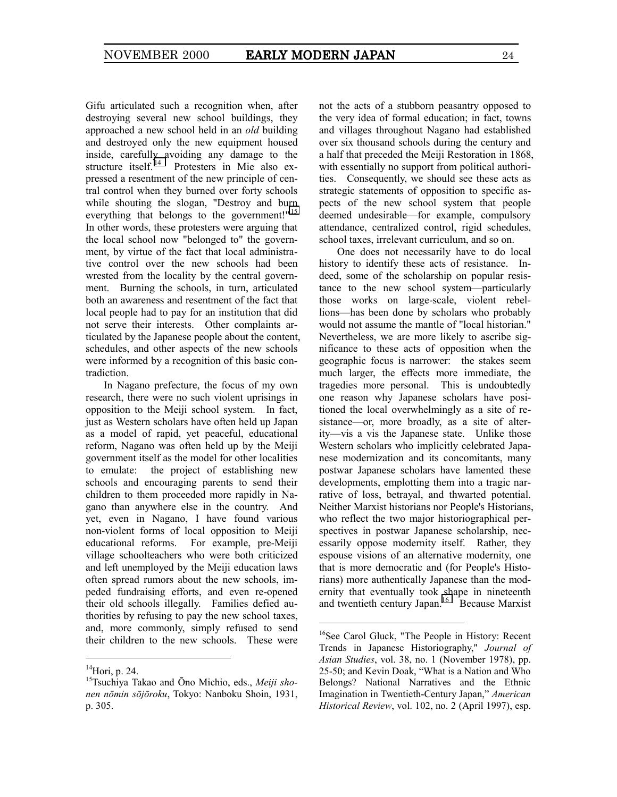Gifu articulated such a recognition when, after destroying several new school buildings, they approached a new school held in an *old* building and destroyed only the new equipment housed inside, carefully avoiding any damage to the structure itself.<sup>14</sup> Protesters in Mie also expressed a resentment of the new principle of central control when they burned over forty schools while shouting the slogan, "Destroy and burn everything that belongs to the government!"<sup>15</sup> In other words, these protesters were arguing that the local school now "belonged to" the government, by virtue of the fact that local administrative control over the new schools had been wrested from the locality by the central government. Burning the schools, in turn, articulated both an awareness and resentment of the fact that local people had to pay for an institution that did not serve their interests. Other complaints articulated by the Japanese people about the content, schedules, and other aspects of the new schools were informed by a recognition of this basic contradiction.

In Nagano prefecture, the focus of my own research, there were no such violent uprisings in opposition to the Meiji school system. In fact, just as Western scholars have often held up Japan as a model of rapid, yet peaceful, educational reform, Nagano was often held up by the Meiji government itself as the model for other localities to emulate: the project of establishing new schools and encouraging parents to send their children to them proceeded more rapidly in Nagano than anywhere else in the country. And yet, even in Nagano, I have found various non-violent forms of local opposition to Meiji educational reforms. For example, pre-Meiji village schoolteachers who were both criticized and left unemployed by the Meiji education laws often spread rumors about the new schools, impeded fundraising efforts, and even re-opened their old schools illegally. Families defied authorities by refusing to pay the new school taxes, and, more commonly, simply refused to send their children to the new schools. These were

-

not the acts of a stubborn peasantry opposed to the very idea of formal education; in fact, towns and villages throughout Nagano had established over six thousand schools during the century and a half that preceded the Meiji Restoration in 1868, with essentially no support from political authorities. Consequently, we should see these acts as strategic statements of opposition to specific aspects of the new school system that people deemed undesirable—for example, compulsory attendance, centralized control, rigid schedules, school taxes, irrelevant curriculum, and so on.

One does not necessarily have to do local history to identify these acts of resistance. Indeed, some of the scholarship on popular resistance to the new school system—particularly those works on large-scale, violent rebellions—has been done by scholars who probably would not assume the mantle of "local historian." Nevertheless, we are more likely to ascribe significance to these acts of opposition when the geographic focus is narrower: the stakes seem much larger, the effects more immediate, the tragedies more personal. This is undoubtedly one reason why Japanese scholars have positioned the local overwhelmingly as a site of resistance—or, more broadly, as a site of alterity—vis a vis the Japanese state. Unlike those Western scholars who implicitly celebrated Japanese modernization and its concomitants, many postwar Japanese scholars have lamented these developments, emplotting them into a tragic narrative of loss, betrayal, and thwarted potential. Neither Marxist historians nor People's Historians, who reflect the two major historiographical perspectives in postwar Japanese scholarship, necessarily oppose modernity itself. Rather, they espouse visions of an alternative modernity, one that is more democratic and (for People's Historians) more authentically Japanese than the modernity that eventually took shape in nineteenth and twentieth century Japan.<sup>16</sup> Because Marxist

 $^{14}$ Hori, p. 24.

<sup>15</sup>Tsuchiya Takao and Ōno Michio, eds., *Meiji shonen nōmin sōjōroku*, Tokyo: Nanboku Shoin, 1931, p. 305.

<sup>&</sup>lt;sup>16</sup>See Carol Gluck, "The People in History: Recent Trends in Japanese Historiography," *Journal of Asian Studies*, vol. 38, no. 1 (November 1978), pp.  $25-50$ ; and Kevin Doak, "What is a Nation and Who Belongs? National Narratives and the Ethnic Imagination in Twentieth-Century Japan," *American Historical Review*, vol. 102, no. 2 (April 1997), esp.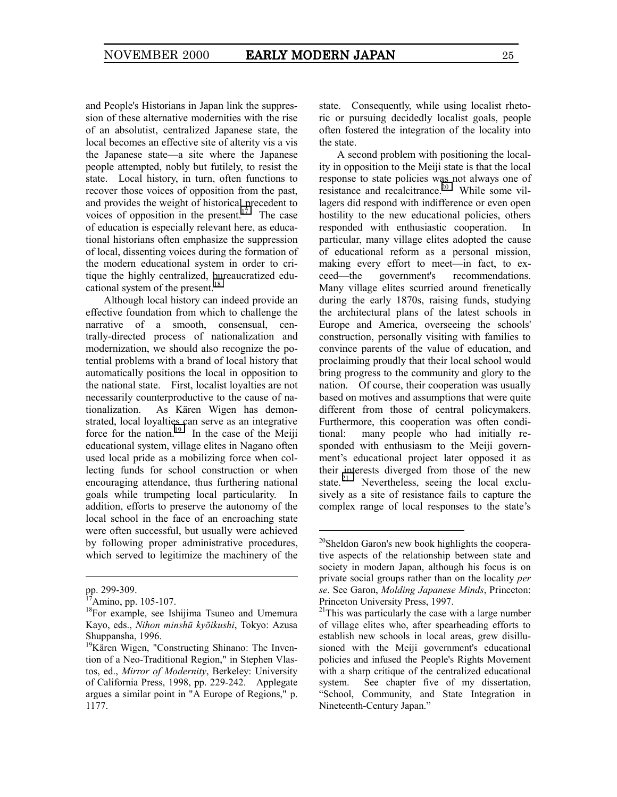and People's Historians in Japan link the suppression of these alternative modernities with the rise of an absolutist, centralized Japanese state, the local becomes an effective site of alterity vis a vis the Japanese state—a site where the Japanese people attempted, nobly but futilely, to resist the state. Local history, in turn, often functions to recover those voices of opposition from the past, and provides the weight of historical precedent to voices of opposition in the present.<sup>17</sup> The case of education is especially relevant here, as educational historians often emphasize the suppression of local, dissenting voices during the formation of the modern educational system in order to critique the highly centralized, bureaucratized educational system of the present.<sup>18</sup>

Although local history can indeed provide an effective foundation from which to challenge the narrative of a smooth, consensual, centrally-directed process of nationalization and modernization, we should also recognize the potential problems with a brand of local history that automatically positions the local in opposition to the national state. First, localist loyalties are not necessarily counterproductive to the cause of nationalization. As Kären Wigen has demonstrated, local loyalties can serve as an integrative force for the nation.<sup>19</sup> In the case of the Meiji educational system, village elites in Nagano often used local pride as a mobilizing force when collecting funds for school construction or when encouraging attendance, thus furthering national goals while trumpeting local particularity. In addition, efforts to preserve the autonomy of the local school in the face of an encroaching state were often successful, but usually were achieved by following proper administrative procedures, which served to legitimize the machinery of the

-

state. Consequently, while using localist rhetoric or pursuing decidedly localist goals, people often fostered the integration of the locality into the state.

A second problem with positioning the locality in opposition to the Meiji state is that the local response to state policies was not always one of resistance and recalcitrance.<sup>20</sup> While some villagers did respond with indifference or even open hostility to the new educational policies, others responded with enthusiastic cooperation. In particular, many village elites adopted the cause of educational reform as a personal mission, making every effort to meet—in fact, to exceed—the government's recommendations. Many village elites scurried around frenetically during the early 1870s, raising funds, studying the architectural plans of the latest schools in Europe and America, overseeing the schools' construction, personally visiting with families to convince parents of the value of education, and proclaiming proudly that their local school would bring progress to the community and glory to the nation. Of course, their cooperation was usually based on motives and assumptions that were quite different from those of central policymakers. Furthermore, this cooperation was often conditional: many people who had initially responded with enthusiasm to the Meiji government's educational project later opposed it as their interests diverged from those of the new state. $21$  Nevertheless, seeing the local exclusively as a site of resistance fails to capture the complex range of local responses to the state's

pp. 299-309.

 $7$ Amino, pp. 105-107.

<sup>&</sup>lt;sup>18</sup>For example, see Ishijima Tsuneo and Umemura Kayo, eds., *Nihon minshū kyōikushi*, Tokyo: Azusa Shuppansha, 1996.

<sup>&</sup>lt;sup>19</sup>Kären Wigen, "Constructing Shinano: The Invention of a Neo-Traditional Region," in Stephen Vlastos, ed., *Mirror of Modernity*, Berkeley: University of California Press, 1998, pp. 229-242. Applegate argues a similar point in "A Europe of Regions," p. 1177.

<sup>&</sup>lt;sup>20</sup>Sheldon Garon's new book highlights the cooperative aspects of the relationship between state and society in modern Japan, although his focus is on private social groups rather than on the locality *per se*. See Garon, *Molding Japanese Minds*, Princeton: Princeton University Press, 1997.

 $21$ This was particularly the case with a large number of village elites who, after spearheading efforts to establish new schools in local areas, grew disillusioned with the Meiji government's educational policies and infused the People's Rights Movement with a sharp critique of the centralized educational system. See chapter five of my dissertation, ìSchool, Community, and State Integration in Nineteenth-Century Japan."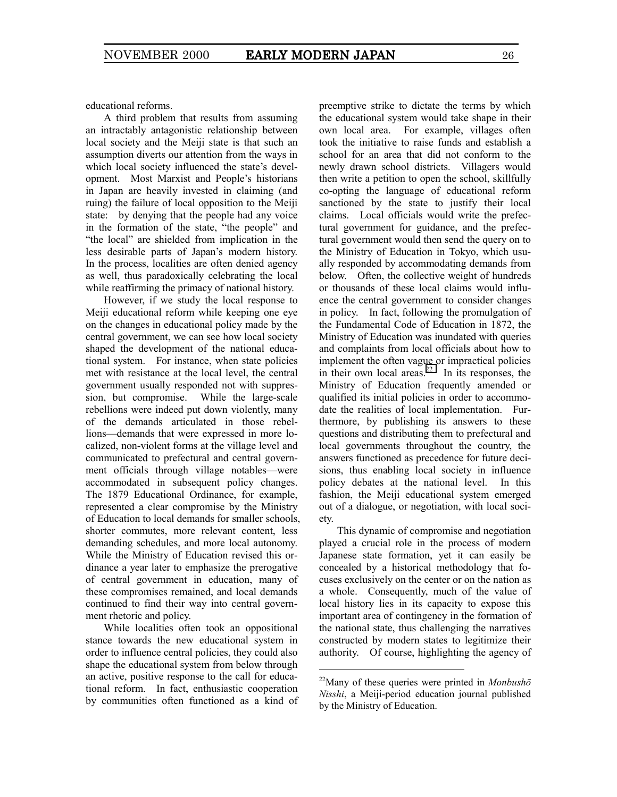educational reforms.

A third problem that results from assuming an intractably antagonistic relationship between local society and the Meiji state is that such an assumption diverts our attention from the ways in which local society influenced the state's development. Most Marxist and People's historians in Japan are heavily invested in claiming (and ruing) the failure of local opposition to the Meiji state: by denying that the people had any voice in the formation of the state, "the people" and "the local" are shielded from implication in the less desirable parts of Japan's modern history. In the process, localities are often denied agency as well, thus paradoxically celebrating the local while reaffirming the primacy of national history.

However, if we study the local response to Meiji educational reform while keeping one eye on the changes in educational policy made by the central government, we can see how local society shaped the development of the national educational system. For instance, when state policies met with resistance at the local level, the central government usually responded not with suppression, but compromise. While the large-scale rebellions were indeed put down violently, many of the demands articulated in those rebellions—demands that were expressed in more localized, non-violent forms at the village level and communicated to prefectural and central government officials through village notables—were accommodated in subsequent policy changes. The 1879 Educational Ordinance, for example, represented a clear compromise by the Ministry of Education to local demands for smaller schools, shorter commutes, more relevant content, less demanding schedules, and more local autonomy. While the Ministry of Education revised this ordinance a year later to emphasize the prerogative of central government in education, many of these compromises remained, and local demands continued to find their way into central government rhetoric and policy.

While localities often took an oppositional stance towards the new educational system in order to influence central policies, they could also shape the educational system from below through an active, positive response to the call for educational reform. In fact, enthusiastic cooperation by communities often functioned as a kind of preemptive strike to dictate the terms by which the educational system would take shape in their own local area. For example, villages often took the initiative to raise funds and establish a school for an area that did not conform to the newly drawn school districts. Villagers would then write a petition to open the school, skillfully co-opting the language of educational reform sanctioned by the state to justify their local claims. Local officials would write the prefectural government for guidance, and the prefectural government would then send the query on to the Ministry of Education in Tokyo, which usually responded by accommodating demands from below. Often, the collective weight of hundreds or thousands of these local claims would influence the central government to consider changes in policy. In fact, following the promulgation of the Fundamental Code of Education in 1872, the Ministry of Education was inundated with queries and complaints from local officials about how to implement the often vague or impractical policies in their own local areas.<sup>22</sup> In its responses, the Ministry of Education frequently amended or qualified its initial policies in order to accommodate the realities of local implementation. Furthermore, by publishing its answers to these questions and distributing them to prefectural and local governments throughout the country, the answers functioned as precedence for future decisions, thus enabling local society in influence policy debates at the national level. In this fashion, the Meiji educational system emerged out of a dialogue, or negotiation, with local society.

This dynamic of compromise and negotiation played a crucial role in the process of modern Japanese state formation, yet it can easily be concealed by a historical methodology that focuses exclusively on the center or on the nation as a whole. Consequently, much of the value of local history lies in its capacity to expose this important area of contingency in the formation of the national state, thus challenging the narratives constructed by modern states to legitimize their authority. Of course, highlighting the agency of

<sup>22</sup>Many of these queries were printed in *Monbushō Nisshi*, a Meiji-period education journal published by the Ministry of Education.